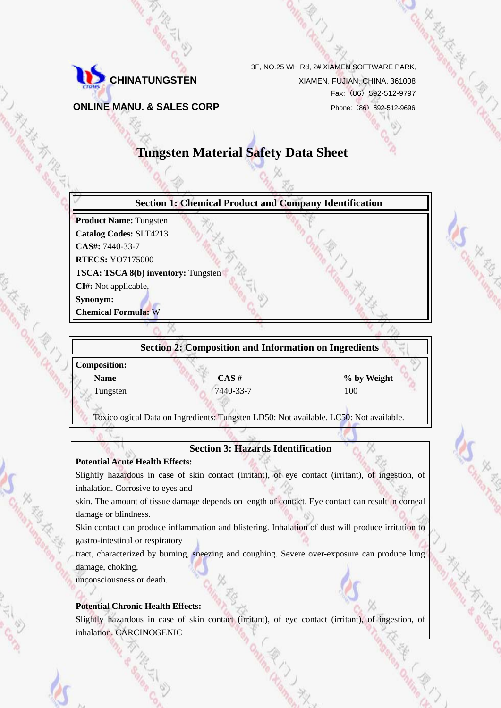

3F, NO.25 WH Rd, 2# XIAMEN SOFTWARE PARK,

Fax:(86)592-512-9797

**ONLINE MANU. & SALES CORP** Phone: (86) 592-512-9696

# **Tungsten Material Safety Data Sheet**



**Composition: Name**  $\cos \theta$  **CAS #**  $\cos \theta$  **% by Weight** Tungsten 100

Toxicological Data on Ingredients: Tungsten LD50: Not available. LC50: Not available.

**Section 3: Hazards Identification** 

**Potential Acute Health Effects:** 

Slightly hazardous in case of skin contact (irritant), of eye contact (irritant), of ingestion, of inhalation. Corrosive to eyes and

skin. The amount of tissue damage depends on length of contact. Eye contact can result in corneal damage or blindness.

Skin contact can produce inflammation and blistering. Inhalation of dust will produce irritation to gastro-intestinal or respiratory

tract, characterized by burning, sneezing and coughing. Severe over-exposure can produce lung damage, choking,

unconsciousness or death.

# **Potential Chronic Health Effects:**

Slightly hazardous in case of skin contact (irritant), of eye contact (irritant), of ingestion, of inhalation. CARCINOGENIC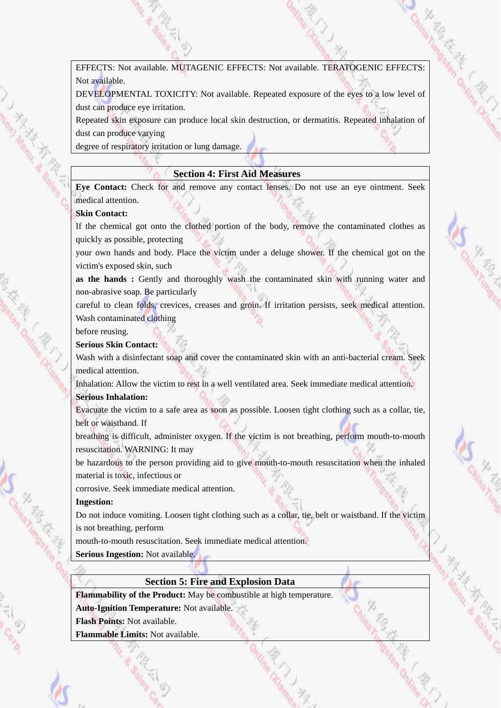EFFECTS: Not available. MUTAGENIC EFFECTS: Not available. TERATOGENIC EFFECTS: Not available.

DEVELOPMENTAL TOXICITY: Not available. Repeated exposure of the eyes to a low level of dust can produce eye irritation.

Repeated skin exposure can produce local skin destruction, or dermatitis. Repeated inhalation of dust can produce varying

degree of respiratory irritation or lung damage.

#### **Section 4: First Aid Measures**

**Eye Contact:** Check for and remove any contact lenses. Do not use an eye ointment. Seek medical attention.

#### **Skin Contact:**

If the chemical got onto the clothed portion of the body, remove the contaminated clothes as quickly as possible, protecting

your own hands and body. Place the victim under a deluge shower. If the chemical got on the victim's exposed skin, such

**as the hands :** Gently and thoroughly wash the contaminated skin with running water and non-abrasive soap. Be particularly

careful to clean folds, crevices, creases and groin. If irritation persists, seek medical attention. Wash contaminated clothing

before reusing.

#### **Serious Skin Contact:**

Wash with a disinfectant soap and cover the contaminated skin with an anti-bacterial cream. Seek medical attention.

Inhalation: Allow the victim to rest in a well ventilated area. Seek immediate medical attention. **Serious Inhalation:** 

Evacuate the victim to a safe area as soon as possible. Loosen tight clothing such as a collar, tie, belt or waistband. If

breathing is difficult, administer oxygen. If the victim is not breathing, perform mouth-to-mouth resuscitation. WARNING: It may

be hazardous to the person providing aid to give mouth-to-mouth resuscitation when the inhaled material is toxic, infectious or

corrosive. Seek immediate medical attention.

#### **Ingestion:**

Do not induce vomiting. Loosen tight clothing such as a collar, tie, belt or waistband. If the victim is not breathing, perform

mouth-to-mouth resuscitation. Seek immediate medical attention.

**Serious Ingestion:** Not available.

#### **Section 5: Fire and Explosion Data**

**Flammability of the Product:** May be combustible at high temperature.

**Auto-Ignition Temperature:** Not available.

**Flash Points:** Not available.

**Flammable Limits:** Not available.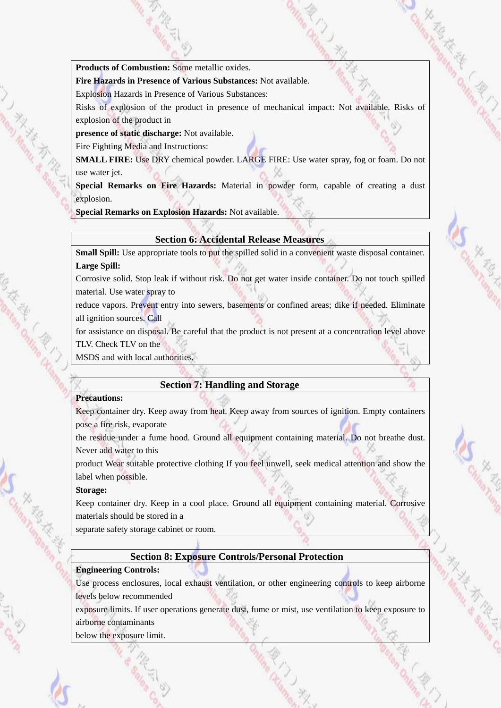**Products of Combustion:** Some metallic oxides.

**Fire Hazards in Presence of Various Substances:** Not available.

Explosion Hazards in Presence of Various Substances:

Risks of explosion of the product in presence of mechanical impact: Not available. Risks of explosion of the product in

**presence of static discharge:** Not available.

Fire Fighting Media and Instructions:

**SMALL FIRE:** Use DRY chemical powder. LARGE FIRE: Use water spray, fog or foam. Do not use water jet.

**Special Remarks on Fire Hazards:** Material in powder form, capable of creating a dust explosion.

**Special Remarks on Explosion Hazards:** Not available.

# **Section 6: Accidental Release Measures**

**Small Spill:** Use appropriate tools to put the spilled solid in a convenient waste disposal container. **Large Spill:** 

Corrosive solid. Stop leak if without risk. Do not get water inside container. Do not touch spilled material. Use water spray to

reduce vapors. Prevent entry into sewers, basements or confined areas; dike if needed. Eliminate all ignition sources. Call

for assistance on disposal. Be careful that the product is not present at a concentration level above TLV. Check TLV on the

MSDS and with local authorities.

#### **Section 7: Handling and Storage**

#### **Precautions:**

Keep container dry. Keep away from heat. Keep away from sources of ignition. Empty containers pose a fire risk, evaporate

the residue under a fume hood. Ground all equipment containing material. Do not breathe dust. Never add water to this

product Wear suitable protective clothing If you feel unwell, seek medical attention and show the label when possible.

#### **Storage:**

Keep container dry. Keep in a cool place. Ground all equipment containing material. Corrosive materials should be stored in a

separate safety storage cabinet or room.

# **Section 8: Exposure Controls/Personal Protection**

#### **Engineering Controls:**

Use process enclosures, local exhaust ventilation, or other engineering controls to keep airborne levels below recommended

exposure limits. If user operations generate dust, fume or mist, use ventilation to keep exposure to airborne contaminants

below the exposure limit.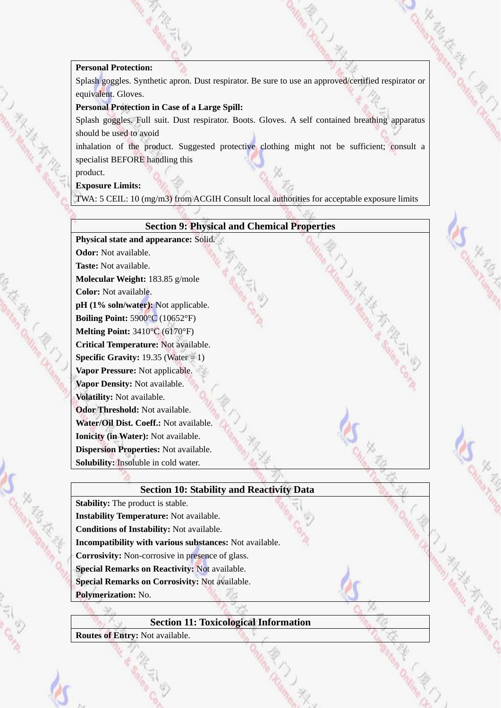# **Personal Protection:**

Personal Protection:<br>Splash goggles. Synthetic apron. Dust respirator. Be sure to use an approved/certified respirator or equivalent. Gloves.

# **Personal Protection in Case of a Large Spill:**

Splash goggles. Full suit. Dust respirator. Boots. Gloves. A self contained breathing apparatus should be used to avoid

inhalation of the product. Suggested protective clothing might not be sufficient; consult a specialist BEFORE handling this

product.

I Service Manuel R.

**SERIES STATES** 

**SS THE THE TANK THE SECOND CAR SERVICE** 

## **Exposure Limits:**

TWA: 5 CEIL: 10 (mg/m3) from ACGIH Consult local authorities for acceptable exposure limits

| <b>Section 9: Physical and Chemical Properties</b>      |  |
|---------------------------------------------------------|--|
| Physical state and appearance: Solid.                   |  |
| <b>Odor:</b> Not available.                             |  |
| Taste: Not available.                                   |  |
| Molecular Weight: 183.85 g/mole                         |  |
| Color: Not available.                                   |  |
| pH (1% soln/water): Not applicable.                     |  |
| Boiling Point: $5900^{\circ}$ C (10652°F)               |  |
| Melting Point: 3410°C (6170°F)                          |  |
| Critical Temperature: Not available.                    |  |
| <b>Specific Gravity:</b> 19.35 (Water = 1)              |  |
| Vapor Pressure: Not applicable.                         |  |
| Vapor Density: Not available.                           |  |
| Volatility: Not available.                              |  |
| Odor Threshold: Not available.                          |  |
| Water/Oil Dist. Coeff.: Not available.                  |  |
| Ionicity (in Water): Not available.                     |  |
| <b>Dispersion Properties: Not available.</b>            |  |
| Solubility: Insoluble in cold water.                    |  |
|                                                         |  |
| <b>Section 10: Stability and Reactivity Data</b>        |  |
| <b>Stability:</b> The product is stable.                |  |
| <b>Instability Temperature:</b> Not available.          |  |
| Conditions of Instability: Not available.               |  |
| Incompatibility with various substances: Not available. |  |
| <b>Corrosivity:</b> Non-corrosive in presence of glass. |  |
| Special Remarks on Reactivity: Not available.           |  |
| <b>Special Remarks on Corrosivity: Not available.</b>   |  |
| Polymerization: No.                                     |  |
|                                                         |  |
| <b>Section 11: Toxicological Information</b>            |  |
| Routes of Entry: Not available.                         |  |
|                                                         |  |